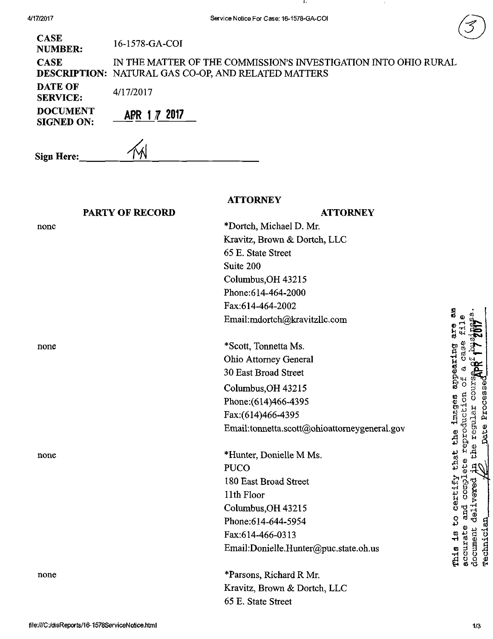|   | ï |
|---|---|
| s |   |
|   | í |
|   |   |

4/17/2017 Service Notice For Case: 16-1578-GA-COI  $CASE$ <br>16-1578-GA-COI NUMBER: CASE IN THE MATTER OF THE COMMISSION'S INVESTIGATION INTO OHIO RURAL DESCRIPTION: NATURAL GAS CO-OP, AND RELATED MATTERS DATE OF 4/17/2017 SERVICE: DOCUMENT APR 1 7 2017 SIGNED ON: Sign Here: 1 **ATTORNEY** PARTY OF RECORD **ATTORNEY** \*Dortch, Michael D. Mr. none Kravitz, Brown & Dortch, LLC 65 E. State Street Suite 200 Columbus,OH 43215 Phone:614-464-2000 Fax:614-464-2002 «s rti Email:[mdortch@kravitzllc.com](mailto:mdortch@kravitzllc.com)  ۶. none \*Scott, Tonnetta Ms.  $\frac{3}{5}$   $\frac{3}{5}$   $\frac{4}{5}$ Ohio Attomey General 2> ^ 30 East Broad Street b O 님 Columbus,OH 43215 § § 8 Phone;(614)466-4395 Fax:(614)466-4395 Email[:tonnetta.scott@ohioattomeygeneral.gov](mailto:tonnetta.scott@ohioattomeygeneral.gov)  OJ p O JJ Pi  $\mathbf{r}_\mathrm{H}$   $\mathbf{H}$   $\mathbf{H}$ \*Hunter, Donielle M Ms. none si '^ PUCO certify 180 East Broad Street 11th Floor Columbus,OH 43215 0<br>H Phone:614-644-5954 Fax:614-466-0313 This is<br>accurat **-**<br>- 1 R @<br>- 1 H Email[:Donielle.Hunter@puc.state.oh.us](mailto:Donielle.Hunter@puc.state.oh.us)  ta :i B none

\*Parsons, Richard R Mr. Kravitz, Brovm & Dortch, LLC 65 E. State Street

•a

COLS<sup>2</sup>

dd.<br>B

Processe

echnic: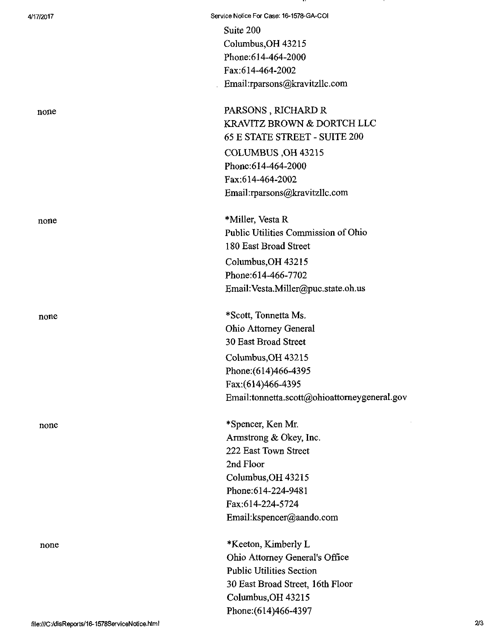| 4/17/2017                                       | Service Notice For Case: 16-1578-GA-COI      |                |
|-------------------------------------------------|----------------------------------------------|----------------|
|                                                 | Suite 200                                    |                |
|                                                 | Columbus, OH 43215                           |                |
|                                                 | Phone: 614-464-2000                          |                |
|                                                 | Fax:614-464-2002                             |                |
|                                                 | Email:rparsons@kravitzllc.com                |                |
| none                                            | PARSONS, RICHARD R                           |                |
|                                                 | KRAVITZ BROWN & DORTCH LLC                   |                |
|                                                 | 65 E STATE STREET - SUITE 200                |                |
|                                                 | COLUMBUS, OH 43215                           |                |
|                                                 | Phone: 614-464-2000                          |                |
|                                                 | Fax:614-464-2002                             |                |
|                                                 | Email:rparsons@kravitzllc.com                |                |
| none                                            | *Miller, Vesta R                             |                |
|                                                 | Public Utilities Commission of Ohio          |                |
|                                                 | 180 East Broad Street                        |                |
|                                                 | Columbus, OH 43215                           |                |
|                                                 | Phone: 614-466-7702                          |                |
|                                                 | Email: Vesta.Miller@puc.state.oh.us          |                |
| none                                            | *Scott, Tonnetta Ms.                         |                |
|                                                 | <b>Ohio Attorney General</b>                 |                |
|                                                 | 30 East Broad Street                         |                |
|                                                 | Columbus, OH 43215                           |                |
|                                                 | Phone: (614)466-4395                         |                |
|                                                 | Fax:(614)466-4395                            |                |
|                                                 | Email:tonnetta.scott@ohioattorneygeneral.gov |                |
| none                                            | *Spencer, Ken Mr.                            |                |
|                                                 | Armstrong & Okey, Inc.                       |                |
|                                                 | 222 East Town Street                         |                |
|                                                 | 2nd Floor                                    |                |
|                                                 | Columbus, OH 43215                           |                |
|                                                 | Phone:614-224-9481                           |                |
|                                                 | Fax:614-224-5724                             |                |
|                                                 | Email:kspencer@aando.com                     |                |
| none                                            | *Keeton, Kimberly L                          |                |
|                                                 | Ohio Attorney General's Office               |                |
|                                                 | <b>Public Utilities Section</b>              |                |
|                                                 | 30 East Broad Street, 16th Floor             |                |
|                                                 | Columbus, OH 43215                           |                |
|                                                 | Phone: (614)466-4397                         | 2 <sub>3</sub> |
| file:///C:/disReports/16-1578ServiceNotice.html |                                              |                |

..